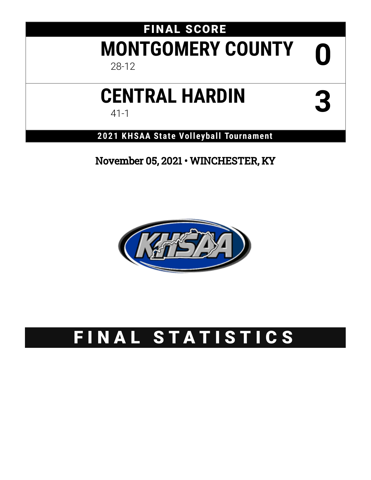# FINAL SCORE **MONTGOMERY COUNTY** 28-12 **0**

# **CENTRAL HARDIN** 41-1 **3**

**2021 KHSAA State Volleyball Tournament**

November 05, 2021 • WINCHESTER, KY



# FINAL STATISTICS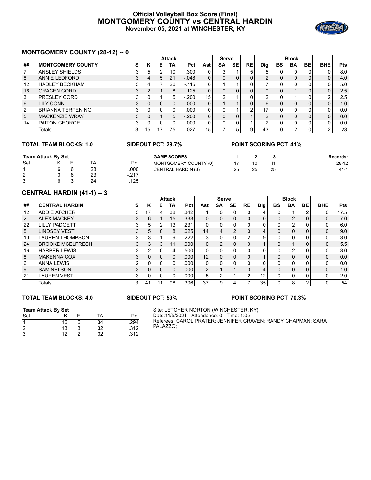#### **Official Volleyball Box Score (Final) MONTGOMERY COUNTY vs CENTRAL HARDIN November 05, 2021 at WINCHESTER, KY**



## **MONTGOMERY COUNTY (28-12) -- 0**

|    | <b>INUIVI GUINLINI CUUNTI (20-12) -- 0</b> |   |    |    |               |                   |     |              |           |           |     |    |              |    |            |            |
|----|--------------------------------------------|---|----|----|---------------|-------------------|-----|--------------|-----------|-----------|-----|----|--------------|----|------------|------------|
|    |                                            |   |    |    | <b>Attack</b> |                   |     | <b>Serve</b> |           |           |     |    | <b>Block</b> |    |            |            |
| ## | <b>MONTGOMERY COUNTY</b>                   | s | ĸ  | Е  | TA            | Pct I             | Ast | <b>SA</b>    | <b>SE</b> | <b>RE</b> | Dig | BS | BA           | BE | <b>BHE</b> | <b>Pts</b> |
|    | ANSLEY SHIELDS                             |   | 5  |    | 10            | .300 <sub>1</sub> |     | 3            |           | 5         | 5.  |    |              |    |            | 8.0        |
| 8  | ANNIE LEDFORD                              |   | 4  | 5  | 21            | $-.048$           |     | 0            | 0         | 0         | 2   |    | 0            | 0  |            | 4.0        |
| 12 | <b>HADLEY BECKHAM</b>                      |   |    |    | 26            | $-115$            |     |              |           |           |     |    |              |    |            | 5.0        |
| 16 | <b>GRACEN CORD</b>                         | 3 |    |    | 8             | .125              |     | 0            |           | 0         | 0   |    |              | 0  | 0          | 2.5        |
| 3  | PRESLEY CORD                               |   |    |    | 5             | $-200$            | 15  | າ            |           | 0         | ົ   |    |              |    | ົ          | 2.5        |
| 6  | <b>LILY CONN</b>                           |   |    | 0  | 0             | .000 <sub>1</sub> |     |              |           | 0         | 6   |    | 0            | 0  |            | 1.0        |
| 2  | <b>BRIANNA TERPENING</b>                   |   |    |    |               | .000 <sub>1</sub> |     | <sup>0</sup> |           | ົ         | 17  |    |              |    |            | 0.0        |
| 5  | <b>MACKENZIE WRAY</b>                      | 3 |    |    | 5             | $-200$            |     | 0            |           |           | າ   |    | $\Omega$     | 0  | 0          | 0.0        |
| 14 | <b>PAITON GEORGE</b>                       |   |    |    |               | .000              |     | 0            | 0         |           | ◠   |    |              | 0  |            | 0.0        |
|    | Totals                                     |   | 15 | 17 | 75            | $-027$            | 15  |              | 5.        | 9         | 43  |    |              | 0  |            | 23         |

**College** 

#### **TOTAL TEAM BLOCKS: 1.0 SIDEOUT PCT: 29.7% POINT SCORING PCT: 41%**

| Team Attack By Set |  |  | <b>GAME SCORES</b> |        |                           | Records: |    |          |
|--------------------|--|--|--------------------|--------|---------------------------|----------|----|----------|
| Set                |  |  | TA                 | Pct    | MONTGOMERY COUNTY (0)     |          |    | $28-12$  |
|                    |  |  | 28                 | .000   | <b>CENTRAL HARDIN (3)</b> | 25       | 25 | $41 - 1$ |
| ົ<br>∼             |  |  | 23                 | $-217$ |                           |          |    |          |
| ົ                  |  |  | 24                 | 125    |                           |          |    |          |

#### **CENTRAL HARDIN (41-1) -- 3**

|              | <u>CLIVINAL IIANDIN (41-1) -- J</u> |                |          |    |               |                   |                |                |                |                |                   |              |                |          |                |            |
|--------------|-------------------------------------|----------------|----------|----|---------------|-------------------|----------------|----------------|----------------|----------------|-------------------|--------------|----------------|----------|----------------|------------|
|              |                                     |                |          |    | <b>Attack</b> |                   |                | <b>Serve</b>   |                |                |                   |              | <b>Block</b>   |          |                |            |
| ##           | <b>CENTRAL HARDIN</b>               | s              | κ        | E. | TA            | Pct l             | Astl           | <b>SA</b>      | <b>SE</b>      | <b>RE</b>      | Dig               | <b>BS</b>    | <b>BA</b>      | BE       | <b>BHE</b>     | <b>Pts</b> |
| 12           | <b>ADDIE ATCHER</b>                 | 3              |          | 4  | 38            | .342              |                |                | 0              |                | 4                 |              |                | 2        | 0              | 17.5       |
| $\mathbf{2}$ | <b>ALEX MACKEY</b>                  | 3              | 6        |    | 15            | .333              | 0              | $\Omega$       | $\Omega$       | 0              | $\mathbf{0}$      | 0            | $\mathcal{P}$  | $\Omega$ | $\overline{0}$ | 7.0        |
| 22           | <b>LILLY PADGETT</b>                | 3              | 5        | 2  | 13            | .231              | 0              | 0              | $\Omega$       |                |                   |              | $\mathfrak{p}$ |          | 0              | 6.0        |
| 5            | <b>LINDSEY VEST</b>                 | 3              | 5        | 0  | 8             | .625              | 14             | 4              | $\overline{2}$ | $\Omega$       | 4                 | 0            | $\Omega$       | 0        | $\overline{0}$ | 9.0        |
| 10           | <b>LAUREN THOMPSON</b>              | 3              | 3        |    | 9             | .222              | 3              | 0              | 0              | $\overline{2}$ | 9                 |              | $\Omega$       |          | 0              | 3.0        |
| 24           | <b>BROOKE MCELFRESH</b>             | 3 <sub>1</sub> | 3        | 3  | 11            | .000 <sub>1</sub> | $\mathbf{0}$   | $\mathfrak{p}$ | $\mathbf{0}$   |                |                   | <sup>0</sup> |                |          | 0              | 5.5        |
| 16           | <b>HARPER LEWIS</b>                 | 3              | 2        | 0  | 4             | .500              | 0              | 0              | 0              |                |                   |              | $\overline{2}$ |          | 0              | 3.0        |
| 8            | <b>MAKENNA COX</b>                  | 3              | $\Omega$ | 0  | $\Omega$      | .000 <sub>1</sub> | 12             | $\Omega$       | $\mathbf{0}$   | 0              |                   | <sup>0</sup> | $\Omega$       | $\Omega$ | $\overline{0}$ | 0.0        |
| 6            | <b>ANNA LEWIS</b>                   |                | 0        | 0  | 0             | .000              | 0              | 0              | 0              |                |                   |              | $\Omega$       |          | 0              | 0.0        |
| 9            | <b>SAM NELSON</b>                   | 3              | $\Omega$ | 0  | $\Omega$      | .000 <sub>1</sub> | $\overline{2}$ |                |                | 3              | 4                 | <sup>0</sup> | $\Omega$       | $\Omega$ | 0              | 1.0        |
| 21           | <b>LAUREN VEST</b>                  | 3              | 0        | 0  | 0             | .000 <sub>1</sub> | 5              | 2              |                | 2              | $12 \overline{ }$ | 0            | 0              | 0        | 0              | 2.0        |
|              | Totals                              | 3              | 41       |    | 98            | .306              | 37             | 9              |                | ⇁              | 35                |              | 8              | 2        | 0              | 54         |

#### **TOTAL TEAM BLOCKS: 4.0 SIDEOUT PCT: 59% POINT SCORING PCT: 70.3%**

#### **Team Attack By Set**

| Set |    |   | TA | Pct  |
|-----|----|---|----|------|
| 1   | 16 | 6 | 34 | .294 |
| 2   | 13 |   | 32 | .312 |
| 3   | 12 |   | 32 | .312 |

#### Site: LETCHER NORTON (WINCHESTER, KY) Date:11/5/2021 - Attendance: 0 - Time: 1:05 Referees: CAROL PRATER; JENNIFER CRAVEN; RANDY CHAPMAN; SARA PALAZZO;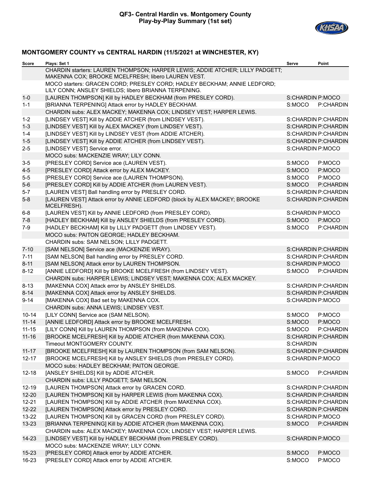

## **MONTGOMERY COUNTY vs CENTRAL HARDIN (11/5/2021 at WINCHESTER, KY)**

| Score     | Plays: Set 1                                                                                                                        | Serve            | Point               |
|-----------|-------------------------------------------------------------------------------------------------------------------------------------|------------------|---------------------|
|           | CHARDIN starters: LAUREN THOMPSON; HARPER LEWIS; ADDIE ATCHER; LILLY PADGETT;<br>MAKENNA COX; BROOKE MCELFRESH; libero LAUREN VEST. |                  |                     |
|           | MOCO starters: GRACEN CORD; PRESLEY CORD; HADLEY BECKHAM; ANNIE LEDFORD;<br>LILY CONN; ANSLEY SHIELDS; libero BRIANNA TERPENING.    |                  |                     |
| $1-0$     | [LAUREN THOMPSON] Kill by HADLEY BECKHAM (from PRESLEY CORD).                                                                       | S:CHARDIN P:MOCO |                     |
| $1 - 1$   | [BRIANNA TERPENING] Attack error by HADLEY BECKHAM.                                                                                 | S:MOCO           | P:CHARDIN           |
|           | CHARDIN subs: ALEX MACKEY; MAKENNA COX; LINDSEY VEST; HARPER LEWIS.                                                                 |                  |                     |
| $1 - 2$   | [LINDSEY VEST] Kill by ADDIE ATCHER (from LINDSEY VEST).                                                                            |                  | S:CHARDIN P:CHARDIN |
| $1 - 3$   | [LINDSEY VEST] Kill by ALEX MACKEY (from LINDSEY VEST).                                                                             |                  | S:CHARDIN P:CHARDIN |
| $1 - 4$   | [LINDSEY VEST] Kill by LINDSEY VEST (from ADDIE ATCHER).                                                                            |                  | S:CHARDIN P:CHARDIN |
| $1-5$     | [LINDSEY VEST] Kill by ADDIE ATCHER (from LINDSEY VEST).                                                                            |                  | S:CHARDIN P:CHARDIN |
| $2 - 5$   | [LINDSEY VEST] Service error.                                                                                                       | S:CHARDIN P:MOCO |                     |
|           | MOCO subs: MACKENZIE WRAY; LILY CONN.                                                                                               |                  |                     |
| $3-5$     | [PRESLEY CORD] Service ace (LAUREN VEST).                                                                                           | S:MOCO           | P:MOCO              |
| $4-5$     | [PRESLEY CORD] Attack error by ALEX MACKEY.                                                                                         | S:MOCO           | P:MOCO              |
| $5-5$     | [PRESLEY CORD] Service ace (LAUREN THOMPSON).                                                                                       | S:MOCO           | P:MOCO              |
| $5-6$     | [PRESLEY CORD] Kill by ADDIE ATCHER (from LAUREN VEST).                                                                             | S:MOCO           | P:CHARDIN           |
| $5 - 7$   | [LAUREN VEST] Ball handling error by PRESLEY CORD.                                                                                  |                  | S:CHARDIN P:CHARDIN |
| $5-8$     | [LAUREN VEST] Attack error by ANNIE LEDFORD (block by ALEX MACKEY; BROOKE<br>MCELFRESH).                                            |                  | S:CHARDIN P:CHARDIN |
| $6 - 8$   | [LAUREN VEST] Kill by ANNIE LEDFORD (from PRESLEY CORD).                                                                            | S:CHARDIN P:MOCO |                     |
| $7 - 8$   | [HADLEY BECKHAM] Kill by ANSLEY SHIELDS (from PRESLEY CORD).                                                                        | S:MOCO           | P:MOCO              |
| $7-9$     | [HADLEY BECKHAM] Kill by LILLY PADGETT (from LINDSEY VEST).                                                                         | S:MOCO           | P:CHARDIN           |
|           | MOCO subs: PAITON GEORGE; HADLEY BECKHAM.                                                                                           |                  |                     |
|           | CHARDIN subs: SAM NELSON; LILLY PADGETT.                                                                                            |                  |                     |
| $7 - 10$  | [SAM NELSON] Service ace (MACKENZIE WRAY).                                                                                          |                  | S:CHARDIN P:CHARDIN |
| $7 - 11$  | [SAM NELSON] Ball handling error by PRESLEY CORD.                                                                                   |                  | S:CHARDIN P:CHARDIN |
| $8 - 11$  | [SAM NELSON] Attack error by LAUREN THOMPSON.                                                                                       | S:CHARDIN P:MOCO |                     |
| $8 - 12$  | [ANNIE LEDFORD] Kill by BROOKE MCELFRESH (from LINDSEY VEST).                                                                       | S:MOCO           | P:CHARDIN           |
|           | CHARDIN subs: HARPER LEWIS; LINDSEY VEST; MAKENNA COX; ALEX MACKEY.                                                                 |                  |                     |
| $8 - 13$  | [MAKENNA COX] Attack error by ANSLEY SHIELDS.                                                                                       |                  | S:CHARDIN P:CHARDIN |
| $8 - 14$  | [MAKENNA COX] Attack error by ANSLEY SHIELDS.                                                                                       |                  | S:CHARDIN P:CHARDIN |
| $9 - 14$  | [MAKENNA COX] Bad set by MAKENNA COX.                                                                                               | S:CHARDIN P:MOCO |                     |
|           | CHARDIN subs: ANNA LEWIS; LINDSEY VEST.                                                                                             |                  |                     |
| $10 - 14$ | [LILY CONN] Service ace (SAM NELSON).                                                                                               | S:MOCO           | P:MOCO              |
| $11 - 14$ | [ANNIE LEDFORD] Attack error by BROOKE MCELFRESH.                                                                                   | S:MOCO           | P:MOCO              |
| $11 - 15$ | [LILY CONN] Kill by LAUREN THOMPSON (from MAKENNA COX).                                                                             | S:MOCO           | P:CHARDIN           |
| $11 - 16$ | [BROOKE MCELFRESH] Kill by ADDIE ATCHER (from MAKENNA COX).                                                                         |                  | S:CHARDIN P:CHARDIN |
|           | Timeout MONTGOMERY COUNTY.                                                                                                          | S:CHARDIN        |                     |
| $11 - 17$ | [BROOKE MCELFRESH] Kill by LAUREN THOMPSON (from SAM NELSON).                                                                       |                  | S:CHARDIN P:CHARDIN |
| $12 - 17$ | [BROOKE MCELFRESH] Kill by ANSLEY SHIELDS (from PRESLEY CORD).                                                                      | S:CHARDIN P:MOCO |                     |
|           | MOCO subs: HADLEY BECKHAM; PAITON GEORGE.                                                                                           |                  |                     |
| $12 - 18$ | [ANSLEY SHIELDS] Kill by ADDIE ATCHER.                                                                                              | S:MOCO           | P:CHARDIN           |
|           | CHARDIN subs: LILLY PADGETT; SAM NELSON.                                                                                            |                  |                     |
| $12 - 19$ | [LAUREN THOMPSON] Attack error by GRACEN CORD.                                                                                      |                  | S:CHARDIN P:CHARDIN |
| $12 - 20$ | [LAUREN THOMPSON] Kill by HARPER LEWIS (from MAKENNA COX).                                                                          |                  | S:CHARDIN P:CHARDIN |
| $12 - 21$ | [LAUREN THOMPSON] Kill by ADDIE ATCHER (from MAKENNA COX).                                                                          |                  | S:CHARDIN P:CHARDIN |
| $12 - 22$ | [LAUREN THOMPSON] Attack error by PRESLEY CORD.                                                                                     |                  | S:CHARDIN P:CHARDIN |
| $13 - 22$ | [LAUREN THOMPSON] Kill by GRACEN CORD (from PRESLEY CORD).                                                                          | S:CHARDIN P:MOCO |                     |
| $13 - 23$ | [BRIANNA TERPENING] Kill by ADDIE ATCHER (from MAKENNA COX).                                                                        | S:MOCO           | P:CHARDIN           |
|           | CHARDIN subs: ALEX MACKEY; MAKENNA COX; LINDSEY VEST; HARPER LEWIS.                                                                 |                  |                     |
| 14-23     | [LINDSEY VEST] Kill by HADLEY BECKHAM (from PRESLEY CORD).                                                                          | S:CHARDIN P:MOCO |                     |
|           | MOCO subs: MACKENZIE WRAY; LILY CONN.                                                                                               |                  |                     |
| $15 - 23$ | [PRESLEY CORD] Attack error by ADDIE ATCHER.                                                                                        | S:MOCO           | P:MOCO              |
| 16-23     | [PRESLEY CORD] Attack error by ADDIE ATCHER.                                                                                        | S:MOCO           | P:MOCO              |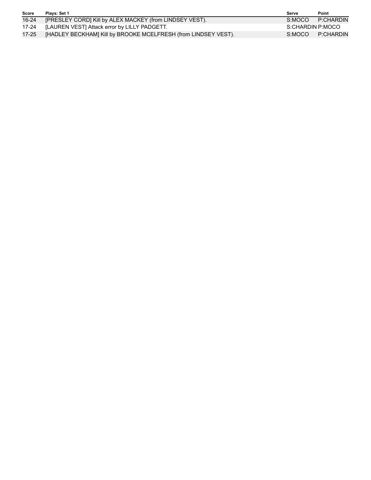| Score | Plavs: Set 1                                                   | Serve            | Point     |
|-------|----------------------------------------------------------------|------------------|-----------|
| 16-24 | [PRESLEY CORD] Kill by ALEX MACKEY (from LINDSEY VEST).        | S:MOCO           | P:CHARDIN |
| 17-24 | [LAUREN VEST] Attack error by LILLY PADGETT.                   | S:CHARDIN P:MOCO |           |
| 17-25 | [HADLEY BECKHAM] Kill by BROOKE MCELFRESH (from LINDSEY VEST). | S:MOCO           | P:CHARDIN |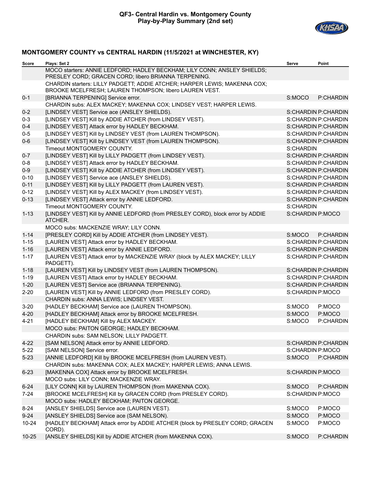

## **MONTGOMERY COUNTY vs CENTRAL HARDIN (11/5/2021 at WINCHESTER, KY)**

| Score     | Plays: Set 2                                                                                                                        | Serve            | Point               |
|-----------|-------------------------------------------------------------------------------------------------------------------------------------|------------------|---------------------|
|           | MOCO starters: ANNIE LEDFORD; HADLEY BECKHAM; LILY CONN; ANSLEY SHIELDS;<br>PRESLEY CORD; GRACEN CORD; libero BRIANNA TERPENING.    |                  |                     |
|           | CHARDIN starters: LILLY PADGETT; ADDIE ATCHER; HARPER LEWIS; MAKENNA COX;<br>BROOKE MCELFRESH; LAUREN THOMPSON; libero LAUREN VEST. |                  |                     |
| $0 - 1$   | [BRIANNA TERPENING] Service error.                                                                                                  | S:MOCO           | P:CHARDIN           |
|           | CHARDIN subs: ALEX MACKEY; MAKENNA COX; LINDSEY VEST; HARPER LEWIS.                                                                 |                  |                     |
| $0 - 2$   | [LINDSEY VEST] Service ace (ANSLEY SHIELDS).                                                                                        |                  | S:CHARDIN P:CHARDIN |
| $0 - 3$   | [LINDSEY VEST] Kill by ADDIE ATCHER (from LINDSEY VEST).                                                                            |                  | S:CHARDIN P:CHARDIN |
| $0 - 4$   | [LINDSEY VEST] Attack error by HADLEY BECKHAM.                                                                                      |                  | S:CHARDIN P:CHARDIN |
| $0-5$     | [LINDSEY VEST] Kill by LINDSEY VEST (from LAUREN THOMPSON).                                                                         |                  | S:CHARDIN P:CHARDIN |
| $0-6$     | [LINDSEY VEST] Kill by LINDSEY VEST (from LAUREN THOMPSON).                                                                         |                  | S:CHARDIN P:CHARDIN |
|           | Timeout MONTGOMERY COUNTY.                                                                                                          | S:CHARDIN        |                     |
| $0 - 7$   | [LINDSEY VEST] Kill by LILLY PADGETT (from LINDSEY VEST).                                                                           |                  | S:CHARDIN P:CHARDIN |
| $0 - 8$   | [LINDSEY VEST] Attack error by HADLEY BECKHAM.                                                                                      |                  | S:CHARDIN P:CHARDIN |
| $0-9$     | [LINDSEY VEST] Kill by ADDIE ATCHER (from LINDSEY VEST).                                                                            |                  | S:CHARDIN P:CHARDIN |
| $0 - 10$  | [LINDSEY VEST] Service ace (ANSLEY SHIELDS).                                                                                        |                  | S:CHARDIN P:CHARDIN |
| $0 - 11$  | [LINDSEY VEST] Kill by LILLY PADGETT (from LAUREN VEST).                                                                            |                  | S:CHARDIN P:CHARDIN |
| $0 - 12$  | [LINDSEY VEST] Kill by ALEX MACKEY (from LINDSEY VEST).                                                                             |                  | S:CHARDIN P:CHARDIN |
| $0 - 13$  | [LINDSEY VEST] Attack error by ANNIE LEDFORD.                                                                                       |                  | S:CHARDIN P:CHARDIN |
|           | Timeout MONTGOMERY COUNTY.                                                                                                          | S:CHARDIN        |                     |
| $1 - 13$  | [LINDSEY VEST] Kill by ANNIE LEDFORD (from PRESLEY CORD), block error by ADDIE<br>ATCHER.                                           | S:CHARDIN P:MOCO |                     |
|           | MOCO subs: MACKENZIE WRAY; LILY CONN.                                                                                               |                  |                     |
| $1 - 14$  | [PRESLEY CORD] Kill by ADDIE ATCHER (from LINDSEY VEST).                                                                            | S:MOCO           | P:CHARDIN           |
| $1 - 15$  | [LAUREN VEST] Attack error by HADLEY BECKHAM.                                                                                       |                  | S:CHARDIN P:CHARDIN |
| $1 - 16$  | [LAUREN VEST] Attack error by ANNIE LEDFORD.                                                                                        |                  | S:CHARDIN P:CHARDIN |
| $1 - 17$  | [LAUREN VEST] Attack error by MACKENZIE WRAY (block by ALEX MACKEY; LILLY<br>PADGETT).                                              |                  | S:CHARDIN P:CHARDIN |
| $1 - 18$  | [LAUREN VEST] Kill by LINDSEY VEST (from LAUREN THOMPSON).                                                                          |                  | S:CHARDIN P:CHARDIN |
| $1 - 19$  | [LAUREN VEST] Attack error by HADLEY BECKHAM.                                                                                       |                  | S:CHARDIN P:CHARDIN |
| $1 - 20$  | [LAUREN VEST] Service ace (BRIANNA TERPENING).                                                                                      |                  | S:CHARDIN P:CHARDIN |
| $2 - 20$  | [LAUREN VEST] Kill by ANNIE LEDFORD (from PRESLEY CORD).                                                                            | S:CHARDIN P:MOCO |                     |
|           | CHARDIN subs: ANNA LEWIS; LINDSEY VEST.                                                                                             |                  |                     |
| $3 - 20$  | [HADLEY BECKHAM] Service ace (LAUREN THOMPSON).                                                                                     | S:MOCO           | P:MOCO              |
| $4 - 20$  | [HADLEY BECKHAM] Attack error by BROOKE MCELFRESH.                                                                                  | S:MOCO           | P:MOCO              |
| $4 - 21$  | [HADLEY BECKHAM] Kill by ALEX MACKEY.                                                                                               | S:MOCO           | P:CHARDIN           |
|           | MOCO subs: PAITON GEORGE; HADLEY BECKHAM.                                                                                           |                  |                     |
|           | CHARDIN subs: SAM NELSON; LILLY PADGETT.                                                                                            |                  |                     |
| $4 - 22$  | [SAM NELSON] Attack error by ANNIE LEDFORD.                                                                                         |                  | S:CHARDIN P:CHARDIN |
| $5 - 22$  | [SAM NELSON] Service error.                                                                                                         | S:CHARDIN P:MOCO |                     |
| $5 - 23$  | [ANNIE LEDFORD] Kill by BROOKE MCELFRESH (from LAUREN VEST).                                                                        | S:MOCO           | P:CHARDIN           |
|           | CHARDIN subs: MAKENNA COX; ALEX MACKEY; HARPER LEWIS; ANNA LEWIS.                                                                   |                  |                     |
| $6 - 23$  | [MAKENNA COX] Attack error by BROOKE MCELFRESH.                                                                                     | S:CHARDIN P:MOCO |                     |
|           | MOCO subs: LILY CONN; MACKENZIE WRAY.                                                                                               |                  |                     |
| $6 - 24$  | [LILY CONN] Kill by LAUREN THOMPSON (from MAKENNA COX).                                                                             | S:MOCO           | P:CHARDIN           |
| $7 - 24$  | [BROOKE MCELFRESH] Kill by GRACEN CORD (from PRESLEY CORD).                                                                         | S:CHARDIN P:MOCO |                     |
|           | MOCO subs: HADLEY BECKHAM; PAITON GEORGE.                                                                                           |                  |                     |
| $8 - 24$  | [ANSLEY SHIELDS] Service ace (LAUREN VEST).                                                                                         | S:MOCO           | P:MOCO              |
| $9 - 24$  | [ANSLEY SHIELDS] Service ace (SAM NELSON).                                                                                          | S:MOCO           | P:MOCO              |
| $10 - 24$ | [HADLEY BECKHAM] Attack error by ADDIE ATCHER (block by PRESLEY CORD; GRACEN<br>CORD).                                              | S:MOCO           | P:MOCO              |
| $10 - 25$ | [ANSLEY SHIELDS] Kill by ADDIE ATCHER (from MAKENNA COX).                                                                           | S:MOCO           | P:CHARDIN           |